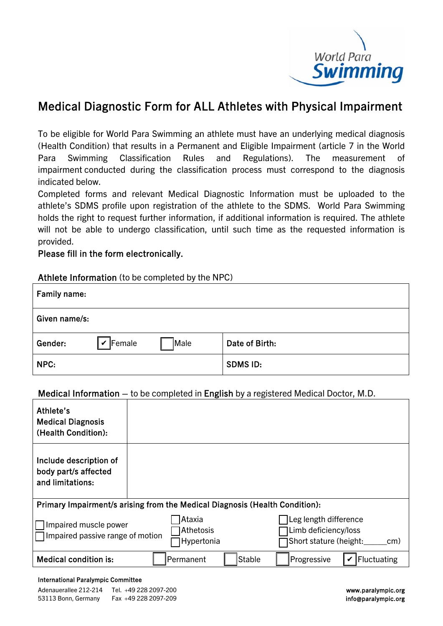

## Medical Diagnostic Form for ALL Athletes with Physical Impairment

To be eligible for World Para Swimming an athlete must have an underlying medical diagnosis (Health Condition) that results in a Permanent and Eligible Impairment (article 7 in the World Para Swimming Classification Rules and Regulations). The measurement of impairment conducted during the classification process must correspond to the diagnosis indicated below.

Completed forms and relevant Medical Diagnostic Information must be uploaded to the athlete's SDMS profile upon registration of the athlete to the SDMS. World Para Swimming holds the right to request further information, if additional information is required. The athlete will not be able to undergo classification, until such time as the requested information is provided.

Please fill in the form electronically.

## Athlete Information (to be completed by the NPC)

| Family name:  |                                    |      |                 |
|---------------|------------------------------------|------|-----------------|
| Given name/s: |                                    |      |                 |
| Gender:       | $\vert\bm{\mathsf{v}}\vert$ Female | Male | Date of Birth:  |
| NPC:          |                                    |      | <b>SDMS ID:</b> |

## Medical Information – to be completed in English by a registered Medical Doctor, M.D.

| Athlete's<br><b>Medical Diagnosis</b><br>(Health Condition):                |                                   |                                                                                |  |  |  |  |
|-----------------------------------------------------------------------------|-----------------------------------|--------------------------------------------------------------------------------|--|--|--|--|
| Include description of<br>body part/s affected<br>and limitations:          |                                   |                                                                                |  |  |  |  |
| Primary Impairment/s arising from the Medical Diagnosis (Health Condition): |                                   |                                                                                |  |  |  |  |
| Impaired muscle power<br>$\Box$ Impaired passive range of motion            | Ataxia<br>Athetosis<br>Hypertonia | Leg length difference<br>Limb deficiency/loss<br>Short stature (height:<br>cm) |  |  |  |  |
| <b>Medical condition is:</b>                                                | <b>Stable</b><br>Permanent        | Fluctuating<br>Progressive                                                     |  |  |  |  |

## International Paralympic Committee